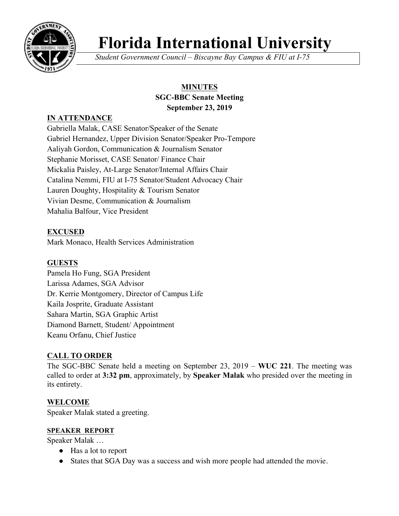

# **Florida International University**

*Student Government Council – Biscayne Bay Campus & FIU at I-75*

# **MINUTES SGC-BBC Senate Meeting September 23, 2019**

# **IN ATTENDANCE**

Gabriella Malak, CASE Senator/Speaker of the Senate Gabriel Hernandez, Upper Division Senator/Speaker Pro-Tempore Aaliyah Gordon, Communication & Journalism Senator Stephanie Morisset, CASE Senator/ Finance Chair Mickalia Paisley, At-Large Senator/Internal Affairs Chair Catalina Nemmi, FIU at I-75 Senator/Student Advocacy Chair Lauren Doughty, Hospitality & Tourism Senator Vivian Desme, Communication & Journalism Mahalia Balfour, Vice President

## **EXCUSED**

Mark Monaco, Health Services Administration

## **GUESTS**

Pamela Ho Fung, SGA President Larissa Adames, SGA Advisor Dr. Kerrie Montgomery, Director of Campus Life Kaila Josprite, Graduate Assistant Sahara Martin, SGA Graphic Artist Diamond Barnett, Student/ Appointment Keanu Orfanu, Chief Justice

## **CALL TO ORDER**

The SGC-BBC Senate held a meeting on September 23, 2019 – **WUC 221**. The meeting was called to order at **3:32 pm**, approximately, by **Speaker Malak** who presided over the meeting in its entirety.

## **WELCOME**

Speaker Malak stated a greeting.

#### **SPEAKER REPORT**

Speaker Malak …

- Has a lot to report
- States that SGA Day was a success and wish more people had attended the movie.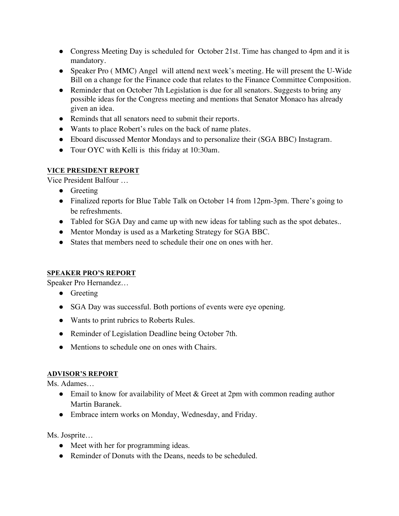- Congress Meeting Day is scheduled for October 21st. Time has changed to 4pm and it is mandatory.
- Speaker Pro ( MMC) Angel will attend next week's meeting. He will present the U-Wide Bill on a change for the Finance code that relates to the Finance Committee Composition.
- Reminder that on October 7th Legislation is due for all senators. Suggests to bring any possible ideas for the Congress meeting and mentions that Senator Monaco has already given an idea.
- Reminds that all senators need to submit their reports.
- Wants to place Robert's rules on the back of name plates.
- Eboard discussed Mentor Mondays and to personalize their (SGA BBC) Instagram.
- Tour OYC with Kelli is this friday at 10:30am.

## **VICE PRESIDENT REPORT**

Vice President Balfour …

- Greeting
- Finalized reports for Blue Table Talk on October 14 from 12pm-3pm. There's going to be refreshments.
- Tabled for SGA Day and came up with new ideas for tabling such as the spot debates..
- Mentor Monday is used as a Marketing Strategy for SGA BBC.
- States that members need to schedule their one on ones with her.

# **SPEAKER PRO'S REPORT**

Speaker Pro Hernandez…

- Greeting
- SGA Day was successful. Both portions of events were eye opening.
- Wants to print rubrics to Roberts Rules.
- Reminder of Legislation Deadline being October 7th.
- Mentions to schedule one on ones with Chairs.

# **ADVISOR'S REPORT**

Ms. Adames…

- Email to know for availability of Meet & Greet at 2pm with common reading author Martin Baranek.
- Embrace intern works on Monday, Wednesday, and Friday.

Ms. Josprite…

- Meet with her for programming ideas.
- Reminder of Donuts with the Deans, needs to be scheduled.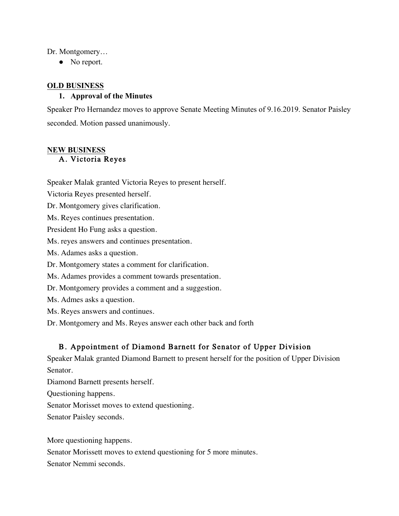Dr. Montgomery…

• No report.

#### **OLD BUSINESS**

#### **1. Approval of the Minutes**

Speaker Pro Hernandez moves to approve Senate Meeting Minutes of 9.16.2019. Senator Paisley seconded. Motion passed unanimously.

#### **NEW BUSINESS** A. Victoria Reyes

Speaker Malak granted Victoria Reyes to present herself.

Victoria Reyes presented herself.

Dr. Montgomery gives clarification.

Ms. Reyes continues presentation.

President Ho Fung asks a question.

Ms. reyes answers and continues presentation.

Ms. Adames asks a question.

Dr. Montgomery states a comment for clarification.

Ms. Adames provides a comment towards presentation.

Dr. Montgomery provides a comment and a suggestion.

Ms. Admes asks a question.

Ms. Reyes answers and continues.

Dr. Montgomery and Ms. Reyes answer each other back and forth

# B. Appointment of Diamond Barnett for Senator of Upper Division

Speaker Malak granted Diamond Barnett to present herself for the position of Upper Division Senator.

Diamond Barnett presents herself.

Questioning happens.

Senator Morisset moves to extend questioning.

Senator Paisley seconds.

More questioning happens.

Senator Morissett moves to extend questioning for 5 more minutes.

Senator Nemmi seconds.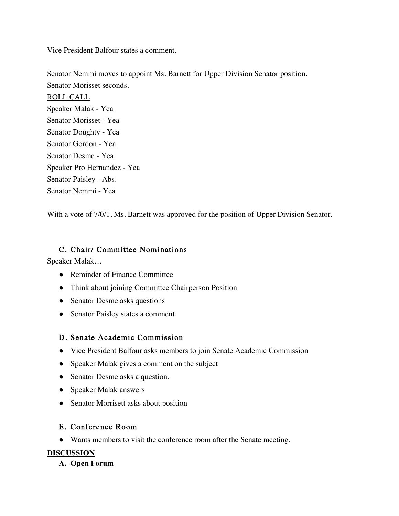Vice President Balfour states a comment.

Senator Nemmi moves to appoint Ms. Barnett for Upper Division Senator position. Senator Morisset seconds. ROLL CALL Speaker Malak - Yea Senator Morisset - Yea Senator Doughty - Yea Senator Gordon - Yea Senator Desme - Yea Speaker Pro Hernandez - Yea Senator Paisley - Abs. Senator Nemmi - Yea

With a vote of 7/0/1, Ms. Barnett was approved for the position of Upper Division Senator.

## C. Chair/ Committee Nominations

Speaker Malak…

- Reminder of Finance Committee
- Think about joining Committee Chairperson Position
- Senator Desme asks questions
- Senator Paisley states a comment

## D. Senate Academic Commission

- Vice President Balfour asks members to join Senate Academic Commission
- Speaker Malak gives a comment on the subject
- Senator Desme asks a question.
- Speaker Malak answers
- Senator Morrisett asks about position

# E. Conference Room

● Wants members to visit the conference room after the Senate meeting.

## **DISCUSSION**

**A. Open Forum**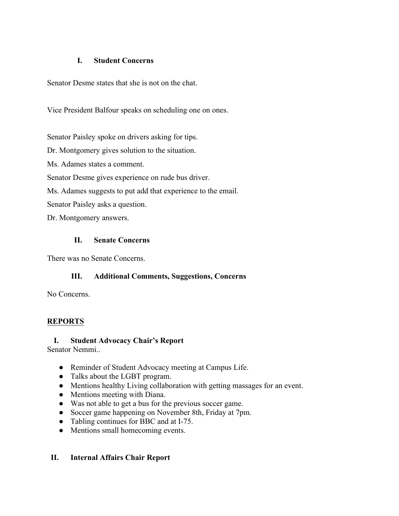#### **I. Student Concerns**

Senator Desme states that she is not on the chat.

Vice President Balfour speaks on scheduling one on ones.

Senator Paisley spoke on drivers asking for tips.

Dr. Montgomery gives solution to the situation.

Ms. Adames states a comment.

Senator Desme gives experience on rude bus driver.

Ms. Adames suggests to put add that experience to the email.

Senator Paisley asks a question.

Dr. Montgomery answers.

### **II. Senate Concerns**

There was no Senate Concerns.

## **III. Additional Comments, Suggestions, Concerns**

No Concerns.

## **REPORTS**

#### **I. Student Advocacy Chair's Report**

Senator Nemmi..

- Reminder of Student Advocacy meeting at Campus Life.
- Talks about the LGBT program.
- Mentions healthy Living collaboration with getting massages for an event.
- Mentions meeting with Diana.
- Was not able to get a bus for the previous soccer game.
- Soccer game happening on November 8th, Friday at 7pm.
- Tabling continues for BBC and at I-75.
- Mentions small homecoming events.

## **II. Internal Affairs Chair Report**